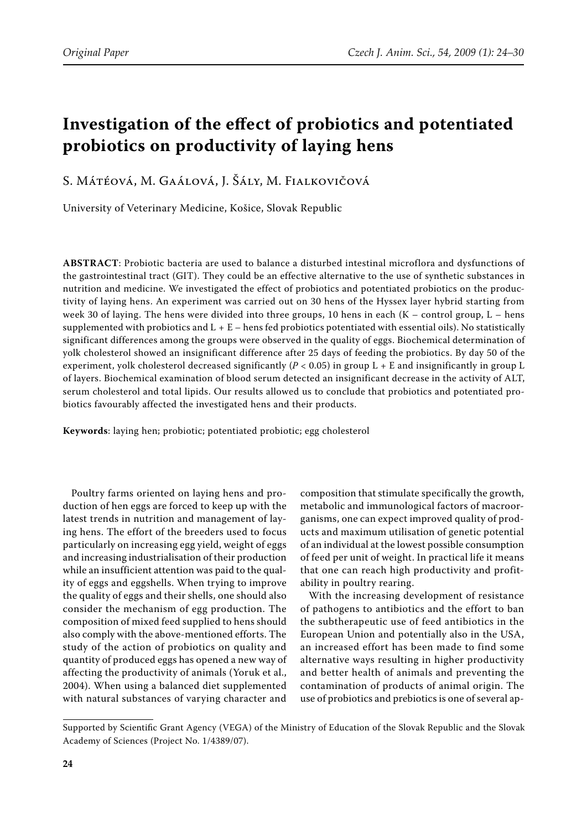# **Investigation of the effect of probiotics and potentiated probiotics on productivity of laying hens**

S. Mátéová, M. Gaálová, J. Šály, M. Fialkovičová

University of Veterinary Medicine, Košice, Slovak Republic

**ABSTRACT**: Probiotic bacteria are used to balance a disturbed intestinal microflora and dysfunctions of the gastrointestinal tract (GIT). They could be an effective alternative to the use of synthetic substances in nutrition and medicine. We investigated the effect of probiotics and potentiated probiotics on the productivity of laying hens. An experiment was carried out on 30 hens of the Hyssex layer hybrid starting from week 30 of laying. The hens were divided into three groups, 10 hens in each  $(K -$  control group,  $L -$  hens supplemented with probiotics and  $L + E$  – hens fed probiotics potentiated with essential oils). No statistically significant differences among the groups were observed in the quality of eggs. Biochemical determination of yolk cholesterol showed an insignificant difference after 25 days of feeding the probiotics. By day 50 of the experiment, yolk cholesterol decreased significantly (*P* < 0.05) in group L + E and insignificantly in group L of layers. Biochemical examination of blood serum detected an insignificant decrease in the activity of ALT, serum cholesterol and total lipids. Our results allowed us to conclude that probiotics and potentiated probiotics favourably affected the investigated hens and their products.

**Keywords**: laying hen; probiotic; potentiated probiotic; egg cholesterol

Poultry farms oriented on laying hens and production of hen eggs are forced to keep up with the latest trends in nutrition and management of laying hens. The effort of the breeders used to focus particularly on increasing egg yield, weight of eggs and increasing industrialisation of their production while an insufficient attention was paid to the quality of eggs and eggshells. When trying to improve the quality of eggs and their shells, one should also consider the mechanism of egg production. The composition of mixed feed supplied to hens should also comply with the above-mentioned efforts. The study of the action of probiotics on quality and quantity of produced eggs has opened a new way of affecting the productivity of animals (Yoruk et al., 2004). When using a balanced diet supplemented with natural substances of varying character and

composition that stimulate specifically the growth, metabolic and immunological factors of macroorganisms, one can expect improved quality of products and maximum utilisation of genetic potential of an individual at the lowest possible consumption of feed per unit of weight. In practical life it means that one can reach high productivity and profitability in poultry rearing.

With the increasing development of resistance of pathogens to antibiotics and the effort to ban the subtherapeutic use of feed antibiotics in the European Union and potentially also in the USA, an increased effort has been made to find some alternative ways resulting in higher productivity and better health of animals and preventing the contamination of products of animal origin. The use of probiotics and prebiotics is one of several ap-

Supported by Scientific Grant Agency (VEGA) of the Ministry of Education of the Slovak Republic and the Slovak Academy of Sciences (Project No. 1/4389/07).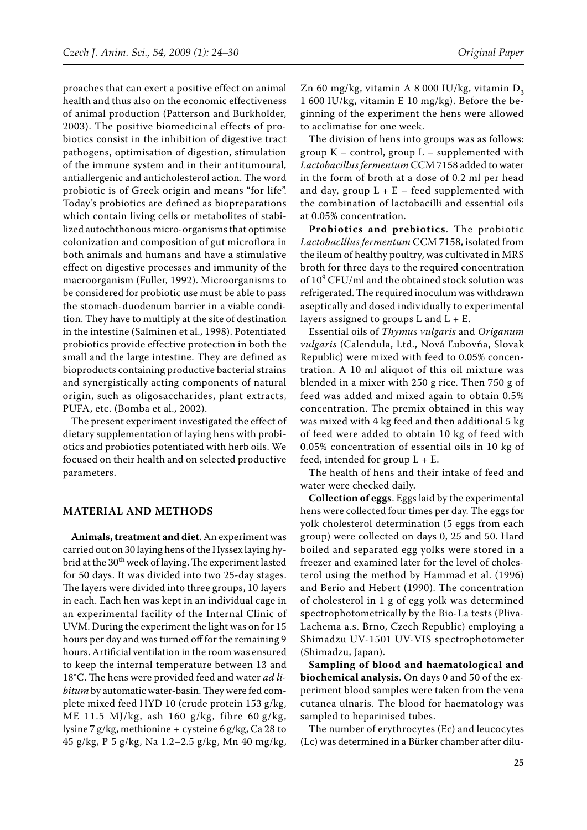proaches that can exert a positive effect on animal health and thus also on the economic effectiveness of animal production (Patterson and Burkholder, 2003). The positive biomedicinal effects of probiotics consist in the inhibition of digestive tract pathogens, optimisation of digestion, stimulation of the immune system and in their antitumoural, antiallergenic and anticholesterol action. The word probiotic is of Greek origin and means "for life". Today's probiotics are defined as biopreparations which contain living cells or metabolites of stabilized autochthonous micro-organisms that optimise colonization and composition of gut microflora in both animals and humans and have a stimulative effect on digestive processes and immunity of the macroorganism (Fuller, 1992). Microorganisms to be considered for probiotic use must be able to pass the stomach-duodenum barrier in a viable condition. They have to multiply at the site of destination in the intestine (Salminen et al., 1998). Potentiated probiotics provide effective protection in both the small and the large intestine. They are defined as bioproducts containing productive bacterial strains and synergistically acting components of natural origin, such as oligosaccharides, plant extracts, PUFA, etc. (Bomba et al., 2002).

The present experiment investigated the effect of dietary supplementation of laying hens with probiotics and probiotics potentiated with herb oils. We focused on their health and on selected productive parameters.

#### **Material and methods**

**Animals, treatment and diet**. An experiment was carried out on 30 laying hens of the Hyssex laying hybrid at the 30<sup>th</sup> week of laying. The experiment lasted for 50 days. It was divided into two 25-day stages. The layers were divided into three groups, 10 layers in each. Each hen was kept in an individual cage in an experimental facility of the Internal Clinic of UVM. During the experiment the light was on for 15 hours per day and was turned off for the remaining 9 hours. Artificial ventilation in the room was ensured to keep the internal temperature between 13 and 18°C. The hens were provided feed and water *ad libitum* by automatic water-basin. They were fed complete mixed feed HYD 10 (crude protein 153 g/kg, ME 11.5 MJ/kg, ash 160 g/kg, fibre 60 g/kg, lysine 7 g/kg, methionine + cysteine 6 g/kg, Ca 28 to 45 g/kg, P 5 g/kg, Na 1.2–2.5 g/kg, Mn 40 mg/kg,

Zn 60 mg/kg, vitamin A 8 000 IU/kg, vitamin  $D_3$ 1 600 IU/kg, vitamin E 10 mg/kg). Before the beginning of the experiment the hens were allowed to acclimatise for one week.

The division of hens into groups was as follows: group  $K$  – control, group  $L$  – supplemented with *Lactobacillus fermentum* CCM 7158 added to water in the form of broth at a dose of 0.2 ml per head and day, group  $L + E$  – feed supplemented with the combination of lactobacilli and essential oils at 0.05% concentration.

**Probiotics and prebiotics**. The probiotic *Lactobacillus fermentum* CCM 7158, isolated from the ileum of healthy poultry, was cultivated in MRS broth for three days to the required concentration of  $10^9$  CFU/ml and the obtained stock solution was refrigerated. The required inoculum was withdrawn aseptically and dosed individually to experimental layers assigned to groups  $L$  and  $L + E$ .

Essential oils of *Thymus vulgaris* and *Origanum vulgaris* (Calendula, Ltd., Nová Ľubovňa, Slovak Republic) were mixed with feed to 0.05% concentration. A 10 ml aliquot of this oil mixture was blended in a mixer with 250 g rice. Then 750 g of feed was added and mixed again to obtain 0.5% concentration. The premix obtained in this way was mixed with 4 kg feed and then additional 5 kg of feed were added to obtain 10 kg of feed with 0.05% concentration of essential oils in 10 kg of feed, intended for group  $L + E$ .

The health of hens and their intake of feed and water were checked daily.

**Collection of eggs**. Eggs laid by the experimental hens were collected four times per day. The eggs for yolk cholesterol determination (5 eggs from each group) were collected on days 0, 25 and 50. Hard boiled and separated egg yolks were stored in a freezer and examined later for the level of cholesterol using the method by Hammad et al. (1996) and Berio and Hebert (1990). The concentration of cholesterol in 1 g of egg yolk was determined spectrophotometrically by the Bio-La tests (Pliva-Lachema a.s. Brno, Czech Republic) employing a Shimadzu UV-1501 UV-VIS spectrophotometer (Shimadzu, Japan).

**Sampling of blood and haematological and biochemical analysis**. On days 0 and 50 of the experiment blood samples were taken from the vena cutanea ulnaris. The blood for haematology was sampled to heparinised tubes.

The number of erythrocytes (Ec) and leucocytes (Lc) was determined in a Bürker chamber after dilu-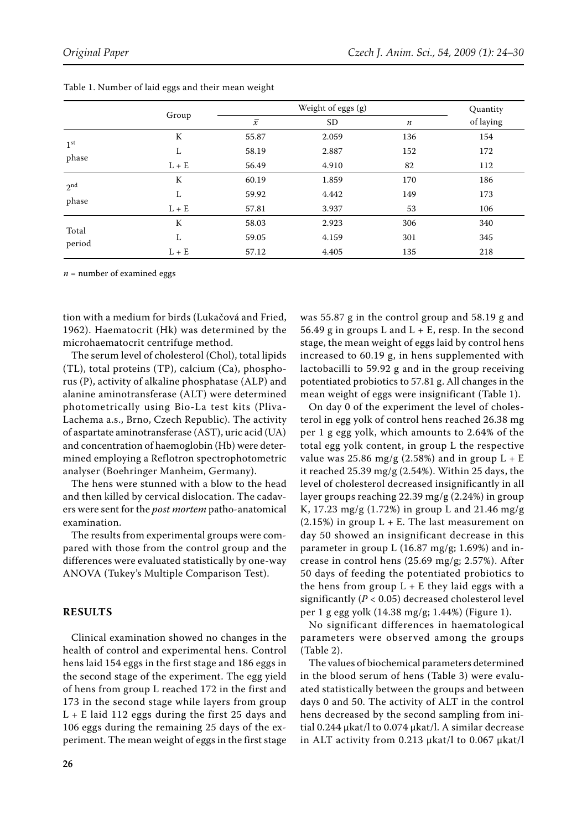|                          | Group   | Weight of eggs (g) |           |         | Quantity  |
|--------------------------|---------|--------------------|-----------|---------|-----------|
|                          |         | $\overline{x}$     | <b>SD</b> | $\it n$ | of laying |
| 1 <sup>st</sup><br>phase | К       | 55.87              | 2.059     | 136     | 154       |
|                          | L       | 58.19              | 2.887     | 152     | 172       |
|                          | $L + E$ | 56.49              | 4.910     | 82      | 112       |
| 2 <sub>nd</sub><br>phase | К       | 60.19              | 1.859     | 170     | 186       |
|                          | L       | 59.92              | 4.442     | 149     | 173       |
|                          | $L + E$ | 57.81              | 3.937     | 53      | 106       |
| Total<br>period          | К       | 58.03              | 2.923     | 306     | 340       |
|                          | L       | 59.05              | 4.159     | 301     | 345       |
|                          | $L + E$ | 57.12              | 4.405     | 135     | 218       |

Table 1. Number of laid eggs and their mean weight

 $n =$  number of examined eggs

tion with a medium for birds (Lukačová and Fried, 1962). Haematocrit (Hk) was determined by the microhaematocrit centrifuge method.

The serum level of cholesterol (Chol), total lipids (TL), total proteins (TP), calcium (Ca), phosphorus (P), activity of alkaline phosphatase (ALP) and alanine aminotransferase (ALT) were determined photometrically using Bio-La test kits (Pliva-Lachema a.s., Brno, Czech Republic). The activity of aspartate aminotransferase (AST), uric acid (UA) and concentration of haemoglobin (Hb) were determined employing a Reflotron spectrophotometric analyser (Boehringer Manheim, Germany).

The hens were stunned with a blow to the head and then killed by cervical dislocation. The cadavers were sent for the *post mortem* patho-anatomical examination.

The results from experimental groups were compared with those from the control group and the differences were evaluated statistically by one-way ANOVA (Tukey's Multiple Comparison Test).

## **RESULTS**

Clinical examination showed no changes in the health of control and experimental hens. Control hens laid 154 eggs in the first stage and 186 eggs in the second stage of the experiment. The egg yield of hens from group L reached 172 in the first and 173 in the second stage while layers from group  $L + E$  laid 112 eggs during the first 25 days and 106 eggs during the remaining 25 days of the experiment. The mean weight of eggs in the first stage was 55.87 g in the control group and 58.19 g and 56.49 g in groups L and  $L + E$ , resp. In the second stage, the mean weight of eggs laid by control hens increased to 60.19 g, in hens supplemented with lactobacilli to 59.92 g and in the group receiving potentiated probiotics to 57.81 g. All changes in the mean weight of eggs were insignificant (Table 1).

On day 0 of the experiment the level of cholesterol in egg yolk of control hens reached 26.38 mg per 1 g egg yolk, which amounts to 2.64% of the total egg yolk content, in group L the respective value was 25.86 mg/g (2.58%) and in group  $L + E$ it reached 25.39 mg/g (2.54%). Within 25 days, the level of cholesterol decreased insignificantly in all layer groups reaching 22.39 mg/g (2.24%) in group K, 17.23 mg/g (1.72%) in group L and 21.46 mg/g  $(2.15%)$  in group L + E. The last measurement on day 50 showed an insignificant decrease in this parameter in group L (16.87 mg/g; 1.69%) and increase in control hens (25.69 mg/g; 2.57%). After 50 days of feeding the potentiated probiotics to the hens from group  $L + E$  they laid eggs with a significantly (*P* < 0.05) decreased cholesterol level per 1 g egg yolk (14.38 mg/g; 1.44%) (Figure 1).

No significant differences in haematological parameters were observed among the groups (Table 2).

The values of biochemical parameters determined in the blood serum of hens (Table 3) were evaluated statistically between the groups and between days 0 and 50. The activity of ALT in the control hens decreased by the second sampling from initial 0.244 μkat/l to 0.074 μkat/l. A similar decrease in ALT activity from 0.213 μkat/l to 0.067 μkat/l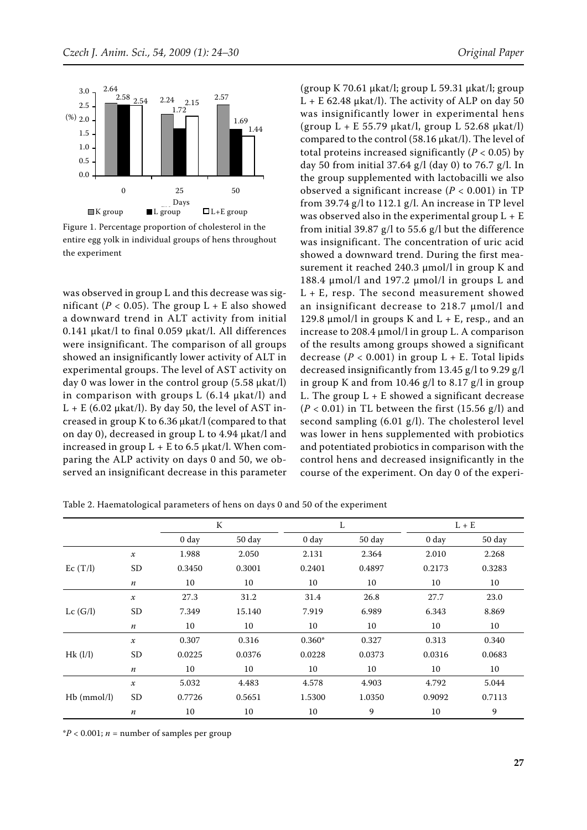

Figure 1. Percentage proportion of cholesterol in the entire egg yolk in individual groups of hens throughout the experiment

was observed in group L and this decrease was significant ( $P < 0.05$ ). The group L + E also showed a downward trend in ALT activity from initial 0.141 μkat/l to final 0.059 μkat/l. All differences were insignificant. The comparison of all groups showed an insignificantly lower activity of ALT in experimental groups. The level of AST activity on day 0 was lower in the control group (5.58 μkat/l) in comparison with groups L (6.14 μkat/l) and  $L + E$  (6.02 µkat/l). By day 50, the level of AST increased in group K to 6.36 μkat/l (compared to that on day 0), decreased in group L to 4.94 μkat/l and increased in group  $L + E$  to 6.5  $\mu$ kat/l. When comparing the ALP activity on days 0 and 50, we observed an insignificant decrease in this parameter

(group K 70.61 μkat/l; group L 59.31 μkat/l; group  $L + E$  62.48 μkat/l). The activity of ALP on day 50 was insignificantly lower in experimental hens (group L + E 55.79 μkat/l, group L 52.68 μkat/l) compared to the control (58.16 μkat/l). The level of total proteins increased significantly  $(P < 0.05)$  by day 50 from initial 37.64 g/l (day 0) to 76.7 g/l. In the group supplemented with lactobacilli we also observed a significant increase (*P* < 0.001) in TP from 39.74 g/l to 112.1 g/l. An increase in TP level was observed also in the experimental group  $L + E$ from initial 39.87 g/l to 55.6 g/l but the difference was insignificant. The concentration of uric acid showed a downward trend. During the first measurement it reached 240.3 μmol/l in group K and 188.4 μmol/l and 197.2 μmol/l in groups L and  $L + E$ , resp. The second measurement showed an insignificant decrease to 218.7 μmol/l and 129.8 μmol/l in groups K and  $L + E$ , resp., and an increase to 208.4 μmol/l in group L. A comparison of the results among groups showed a significant decrease  $(P < 0.001)$  in group  $L + E$ . Total lipids decreased insignificantly from 13.45 g/l to 9.29 g/l in group K and from 10.46 g/l to 8.17 g/l in group L. The group  $L + E$  showed a significant decrease  $(P < 0.01)$  in TL between the first  $(15.56 \text{ g/l})$  and second sampling (6.01 g/l). The cholesterol level was lower in hens supplemented with probiotics and potentiated probiotics in comparison with the control hens and decreased insignificantly in the course of the experiment. On day 0 of the experi-

|               |                            | K          |        |            | L      |            | $L + E$ |  |
|---------------|----------------------------|------------|--------|------------|--------|------------|---------|--|
|               |                            | $0 \, day$ | 50 day | $0 \, day$ | 50 day | $0 \, day$ | 50 day  |  |
|               | $\boldsymbol{\mathcal{X}}$ | 1.988      | 2.050  | 2.131      | 2.364  | 2.010      | 2.268   |  |
| Ec(T/l)       | <b>SD</b>                  | 0.3450     | 0.3001 | 0.2401     | 0.4897 | 0.2173     | 0.3283  |  |
|               | $\boldsymbol{n}$           | 10         | 10     | 10         | 10     | 10         | 10      |  |
|               | $\boldsymbol{\mathcal{X}}$ | 27.3       | 31.2   | 31.4       | 26.8   | 27.7       | 23.0    |  |
| Lc(G/l)       | <b>SD</b>                  | 7.349      | 15.140 | 7.919      | 6.989  | 6.343      | 8.869   |  |
|               | $\boldsymbol{n}$           | 10         | 10     | 10         | 10     | 10         | 10      |  |
|               | $\boldsymbol{\mathcal{X}}$ | 0.307      | 0.316  | $0.360*$   | 0.327  | 0.313      | 0.340   |  |
| Hk(1/l)       | <b>SD</b>                  | 0.0225     | 0.0376 | 0.0228     | 0.0373 | 0.0316     | 0.0683  |  |
|               | $\boldsymbol{n}$           | 10         | 10     | 10         | 10     | 10         | 10      |  |
|               | $\boldsymbol{\mathcal{X}}$ | 5.032      | 4.483  | 4.578      | 4.903  | 4.792      | 5.044   |  |
| $Hb$ (mmol/l) | <b>SD</b>                  | 0.7726     | 0.5651 | 1.5300     | 1.0350 | 0.9092     | 0.7113  |  |
|               | $\boldsymbol{n}$           | 10         | 10     | 10         | 9      | 10         | 9       |  |

Table 2. Haematological parameters of hens on days 0 and 50 of the experiment

 $*P < 0.001$ ; *n* = number of samples per group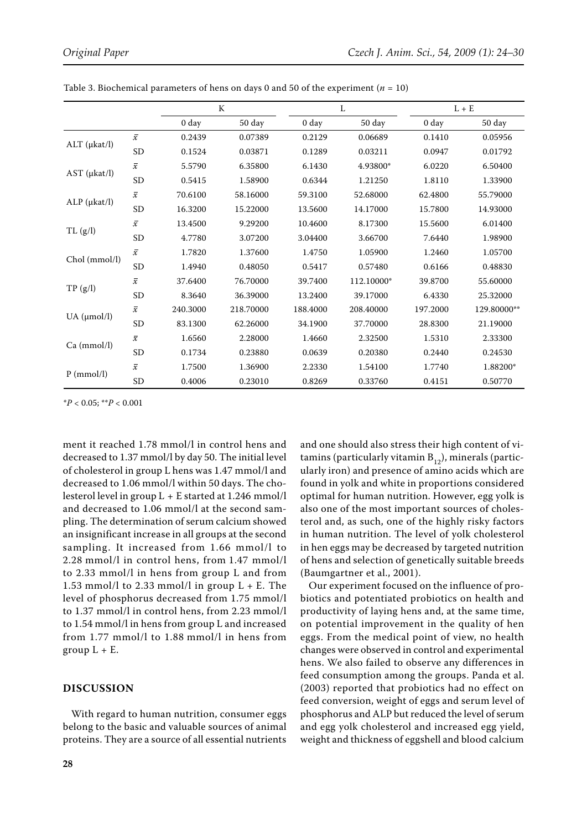|                      |                     |          | K         | L          |            | $L + E$    |             |
|----------------------|---------------------|----------|-----------|------------|------------|------------|-------------|
|                      |                     | 0 day    | 50 day    | $0 \, day$ | 50 day     | $0 \, day$ | 50 day      |
| $ALT$ ( $\mu$ kat/l) | $\bar{x}$           | 0.2439   | 0.07389   | 0.2129     | 0.06689    | 0.1410     | 0.05956     |
|                      | <b>SD</b>           | 0.1524   | 0.03871   | 0.1289     | 0.03211    | 0.0947     | 0.01792     |
| $AST$ ( $\mu$ kat/l) | $\bar{\mathcal{X}}$ | 5.5790   | 6.35800   | 6.1430     | 4.93800*   | 6.0220     | 6.50400     |
|                      | <b>SD</b>           | 0.5415   | 1.58900   | 0.6344     | 1.21250    | 1.8110     | 1.33900     |
| $ALP$ ( $\mu$ kat/l) | $\bar{\mathcal{X}}$ | 70.6100  | 58.16000  | 59.3100    | 52.68000   | 62.4800    | 55.79000    |
|                      | <b>SD</b>           | 16.3200  | 15.22000  | 13.5600    | 14.17000   | 15.7800    | 14.93000    |
| TL(g/l)              | $\bar{x}$           | 13.4500  | 9.29200   | 10.4600    | 8.17300    | 15.5600    | 6.01400     |
|                      | <b>SD</b>           | 4.7780   | 3.07200   | 3.04400    | 3.66700    | 7.6440     | 1.98900     |
| Chol (mmol/l)        | $\bar{x}$           | 1.7820   | 1.37600   | 1.4750     | 1.05900    | 1.2460     | 1.05700     |
|                      | <b>SD</b>           | 1.4940   | 0.48050   | 0.5417     | 0.57480    | 0.6166     | 0.48830     |
| TP(g/l)              | $\overline{x}$      | 37.6400  | 76.70000  | 39.7400    | 112.10000* | 39.8700    | 55.60000    |
|                      | <b>SD</b>           | 8.3640   | 36.39000  | 13.2400    | 39.17000   | 6.4330     | 25.32000    |
| UA (µmol/l)          | $\overline{x}$      | 240.3000 | 218.70000 | 188.4000   | 208.40000  | 197.2000   | 129.80000** |
|                      | <b>SD</b>           | 83.1300  | 62.26000  | 34.1900    | 37.70000   | 28.8300    | 21.19000    |
| Ca (mmol/l)          | $\bar{x}$           | 1.6560   | 2.28000   | 1.4660     | 2.32500    | 1.5310     | 2.33300     |
|                      | <b>SD</b>           | 0.1734   | 0.23880   | 0.0639     | 0.20380    | 0.2440     | 0.24530     |
| $P$ (mmol/l)         | $\bar{x}$           | 1.7500   | 1.36900   | 2.2330     | 1.54100    | 1.7740     | 1.88200*    |
|                      | <b>SD</b>           | 0.4006   | 0.23010   | 0.8269     | 0.33760    | 0.4151     | 0.50770     |

Table 3. Biochemical parameters of hens on days 0 and 50 of the experiment  $(n = 10)$ 

\**P* < 0.05; \*\**P* < 0.001

ment it reached 1.78 mmol/l in control hens and decreased to 1.37 mmol/l by day 50. The initial level of cholesterol in group L hens was 1.47 mmol/l and decreased to 1.06 mmol/l within 50 days. The cholesterol level in group L + E started at 1.246 mmol/l and decreased to 1.06 mmol/l at the second sampling. The determination of serum calcium showed an insignificant increase in all groups at the second sampling. It increased from 1.66 mmol/l to 2.28 mmol/l in control hens, from 1.47 mmol/l to 2.33 mmol/l in hens from group L and from 1.53 mmol/l to 2.33 mmol/l in group  $L + E$ . The level of phosphorus decreased from 1.75 mmol/l to 1.37 mmol/l in control hens, from 2.23 mmol/l to 1.54 mmol/l in hens from group L and increased from 1.77 mmol/l to 1.88 mmol/l in hens from group  $L + E$ .

#### **DISCUSSION**

With regard to human nutrition, consumer eggs belong to the basic and valuable sources of animal proteins. They are a source of all essential nutrients

and one should also stress their high content of vitamins (particularly vitamin  $B_{12}$ ), minerals (particularly iron) and presence of amino acids which are found in yolk and white in proportions considered optimal for human nutrition. However, egg yolk is also one of the most important sources of cholesterol and, as such, one of the highly risky factors in human nutrition. The level of yolk cholesterol in hen eggs may be decreased by targeted nutrition of hens and selection of genetically suitable breeds (Baumgartner et al., 2001).

Our experiment focused on the influence of probiotics and potentiated probiotics on health and productivity of laying hens and, at the same time, on potential improvement in the quality of hen eggs. From the medical point of view, no health changes were observed in control and experimental hens. We also failed to observe any differences in feed consumption among the groups. Panda et al. (2003) reported that probiotics had no effect on feed conversion, weight of eggs and serum level of phosphorus and ALP but reduced the level of serum and egg yolk cholesterol and increased egg yield, weight and thickness of eggshell and blood calcium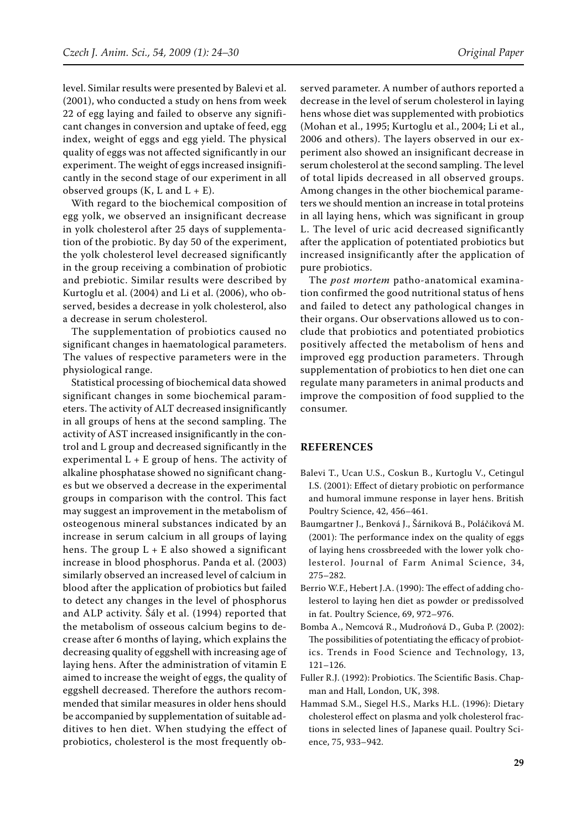level. Similar results were presented by Balevi et al. (2001), who conducted a study on hens from week 22 of egg laying and failed to observe any significant changes in conversion and uptake of feed, egg index, weight of eggs and egg yield. The physical quality of eggs was not affected significantly in our experiment. The weight of eggs increased insignificantly in the second stage of our experiment in all observed groups  $(K, L \text{ and } L + E)$ .

With regard to the biochemical composition of egg yolk, we observed an insignificant decrease in yolk cholesterol after 25 days of supplementation of the probiotic. By day 50 of the experiment, the yolk cholesterol level decreased significantly in the group receiving a combination of probiotic and prebiotic. Similar results were described by Kurtoglu et al. (2004) and Li et al. (2006), who observed, besides a decrease in yolk cholesterol, also a decrease in serum cholesterol.

The supplementation of probiotics caused no significant changes in haematological parameters. The values of respective parameters were in the physiological range.

Statistical processing of biochemical data showed significant changes in some biochemical parameters. The activity of ALT decreased insignificantly in all groups of hens at the second sampling. The activity of AST increased insignificantly in the control and L group and decreased significantly in the experimental  $L + E$  group of hens. The activity of alkaline phosphatase showed no significant changes but we observed a decrease in the experimental groups in comparison with the control. This fact may suggest an improvement in the metabolism of osteogenous mineral substances indicated by an increase in serum calcium in all groups of laying hens. The group  $L + E$  also showed a significant increase in blood phosphorus. Panda et al. (2003) similarly observed an increased level of calcium in blood after the application of probiotics but failed to detect any changes in the level of phosphorus and ALP activity. Šály et al. (1994) reported that the metabolism of osseous calcium begins to decrease after 6 months of laying, which explains the decreasing quality of eggshell with increasing age of laying hens. After the administration of vitamin E aimed to increase the weight of eggs, the quality of eggshell decreased. Therefore the authors recommended that similar measures in older hens should be accompanied by supplementation of suitable additives to hen diet. When studying the effect of probiotics, cholesterol is the most frequently observed parameter. A number of authors reported a decrease in the level of serum cholesterol in laying hens whose diet was supplemented with probiotics (Mohan et al., 1995; Kurtoglu et al., 2004; Li et al., 2006 and others). The layers observed in our experiment also showed an insignificant decrease in serum cholesterol at the second sampling. The level of total lipids decreased in all observed groups. Among changes in the other biochemical parameters we should mention an increase in total proteins in all laying hens, which was significant in group L. The level of uric acid decreased significantly after the application of potentiated probiotics but increased insignificantly after the application of pure probiotics.

The *post mortem* patho-anatomical examination confirmed the good nutritional status of hens and failed to detect any pathological changes in their organs. Our observations allowed us to conclude that probiotics and potentiated probiotics positively affected the metabolism of hens and improved egg production parameters. Through supplementation of probiotics to hen diet one can regulate many parameters in animal products and improve the composition of food supplied to the consumer.

### **REFERENCES**

- Balevi T., Ucan U.S., Coskun B., Kurtoglu V., Cetingul I.S. (2001): Effect of dietary probiotic on performance and humoral immune response in layer hens. British Poultry Science, 42, 456–461.
- Baumgartner J., Benková J., Šárniková B., Poláčiková M. (2001): The performance index on the quality of eggs of laying hens crossbreeded with the lower yolk cholesterol. Journal of Farm Animal Science, 34, 275–282.
- Berrio W.F., Hebert J.A. (1990): The effect of adding cholesterol to laying hen diet as powder or predissolved in fat. Poultry Science, 69, 972–976.
- Bomba A., Nemcová R., Mudroňová D., Guba P. (2002): The possibilities of potentiating the efficacy of probiotics. Trends in Food Science and Technology, 13, 121–126.
- Fuller R.J. (1992): Probiotics. The Scientific Basis. Chapman and Hall, London, UK, 398.
- Hammad S.M., Siegel H.S., Marks H.L. (1996): Dietary cholesterol effect on plasma and yolk cholesterol fractions in selected lines of Japanese quail. Poultry Science, 75, 933–942.